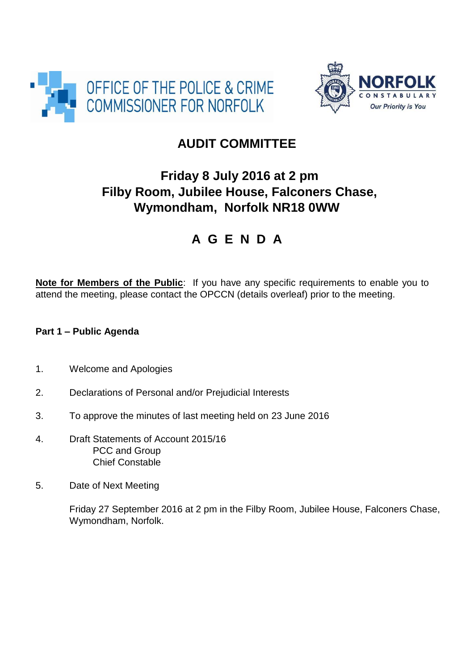



## **AUDIT COMMITTEE**

## **Friday 8 July 2016 at 2 pm Filby Room, Jubilee House, Falconers Chase, Wymondham, Norfolk NR18 0WW**

# **A G E N D A**

**Note for Members of the Public**: If you have any specific requirements to enable you to attend the meeting, please contact the OPCCN (details overleaf) prior to the meeting.

### **Part 1 – Public Agenda**

- 1. Welcome and Apologies
- 2. Declarations of Personal and/or Prejudicial Interests
- 3. To approve the minutes of last meeting held on 23 June 2016
- 4. Draft Statements of Account 2015/16 PCC and Group Chief Constable
- 5. Date of Next Meeting

Friday 27 September 2016 at 2 pm in the Filby Room, Jubilee House, Falconers Chase, Wymondham, Norfolk.